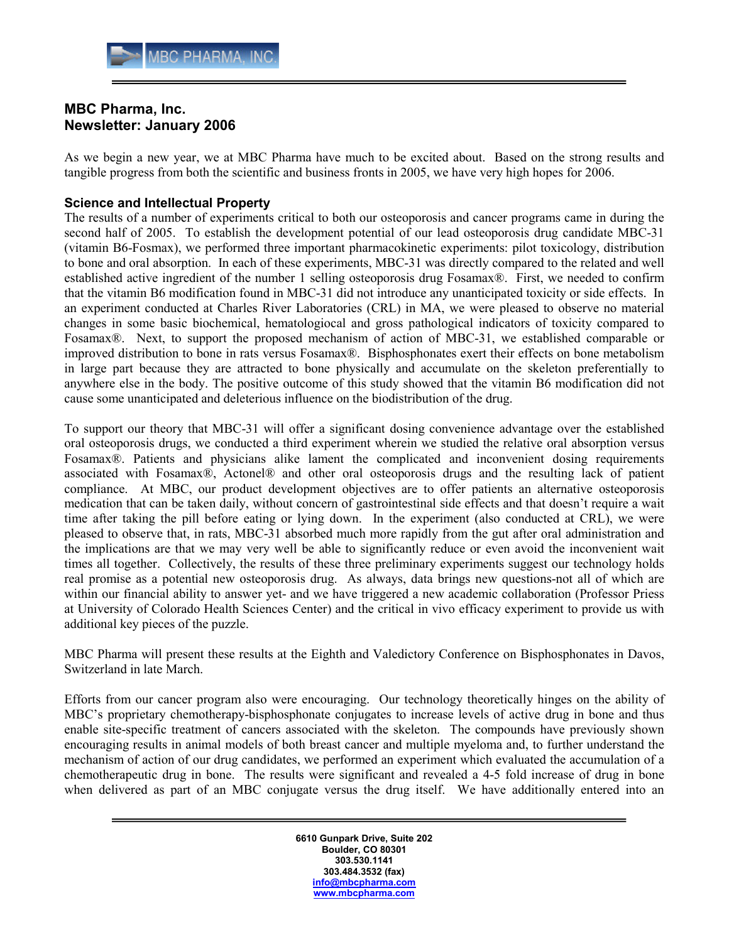## MBC Pharma, Inc. Newsletter: January 2006

As we begin a new year, we at MBC Pharma have much to be excited about. Based on the strong results and tangible progress from both the scientific and business fronts in 2005, we have very high hopes for 2006.

## Science and Intellectual Property

The results of a number of experiments critical to both our osteoporosis and cancer programs came in during the second half of 2005. To establish the development potential of our lead osteoporosis drug candidate MBC-31 (vitamin B6-Fosmax), we performed three important pharmacokinetic experiments: pilot toxicology, distribution to bone and oral absorption. In each of these experiments, MBC-31 was directly compared to the related and well established active ingredient of the number 1 selling osteoporosis drug Fosamax®. First, we needed to confirm that the vitamin B6 modification found in MBC-31 did not introduce any unanticipated toxicity or side effects. In an experiment conducted at Charles River Laboratories (CRL) in MA, we were pleased to observe no material changes in some basic biochemical, hematologiocal and gross pathological indicators of toxicity compared to Fosamax®. Next, to support the proposed mechanism of action of MBC-31, we established comparable or improved distribution to bone in rats versus Fosamax®. Bisphosphonates exert their effects on bone metabolism in large part because they are attracted to bone physically and accumulate on the skeleton preferentially to anywhere else in the body. The positive outcome of this study showed that the vitamin B6 modification did not cause some unanticipated and deleterious influence on the biodistribution of the drug.

To support our theory that MBC-31 will offer a significant dosing convenience advantage over the established oral osteoporosis drugs, we conducted a third experiment wherein we studied the relative oral absorption versus Fosamax®. Patients and physicians alike lament the complicated and inconvenient dosing requirements associated with Fosamax®, Actonel® and other oral osteoporosis drugs and the resulting lack of patient compliance. At MBC, our product development objectives are to offer patients an alternative osteoporosis medication that can be taken daily, without concern of gastrointestinal side effects and that doesn't require a wait time after taking the pill before eating or lying down. In the experiment (also conducted at CRL), we were pleased to observe that, in rats, MBC-31 absorbed much more rapidly from the gut after oral administration and the implications are that we may very well be able to significantly reduce or even avoid the inconvenient wait times all together. Collectively, the results of these three preliminary experiments suggest our technology holds real promise as a potential new osteoporosis drug. As always, data brings new questions-not all of which are within our financial ability to answer yet- and we have triggered a new academic collaboration (Professor Priess at University of Colorado Health Sciences Center) and the critical in vivo efficacy experiment to provide us with additional key pieces of the puzzle.

MBC Pharma will present these results at the Eighth and Valedictory Conference on Bisphosphonates in Davos, Switzerland in late March.

Efforts from our cancer program also were encouraging. Our technology theoretically hinges on the ability of MBC's proprietary chemotherapy-bisphosphonate conjugates to increase levels of active drug in bone and thus enable site-specific treatment of cancers associated with the skeleton. The compounds have previously shown encouraging results in animal models of both breast cancer and multiple myeloma and, to further understand the mechanism of action of our drug candidates, we performed an experiment which evaluated the accumulation of a chemotherapeutic drug in bone. The results were significant and revealed a 4-5 fold increase of drug in bone when delivered as part of an MBC conjugate versus the drug itself. We have additionally entered into an

> 6610 Gunpark Drive, Suite 202 Boulder, CO 80301 303.530.1141 303.484.3532 (fax) info@mbcpharma.com www.mbcpharma.com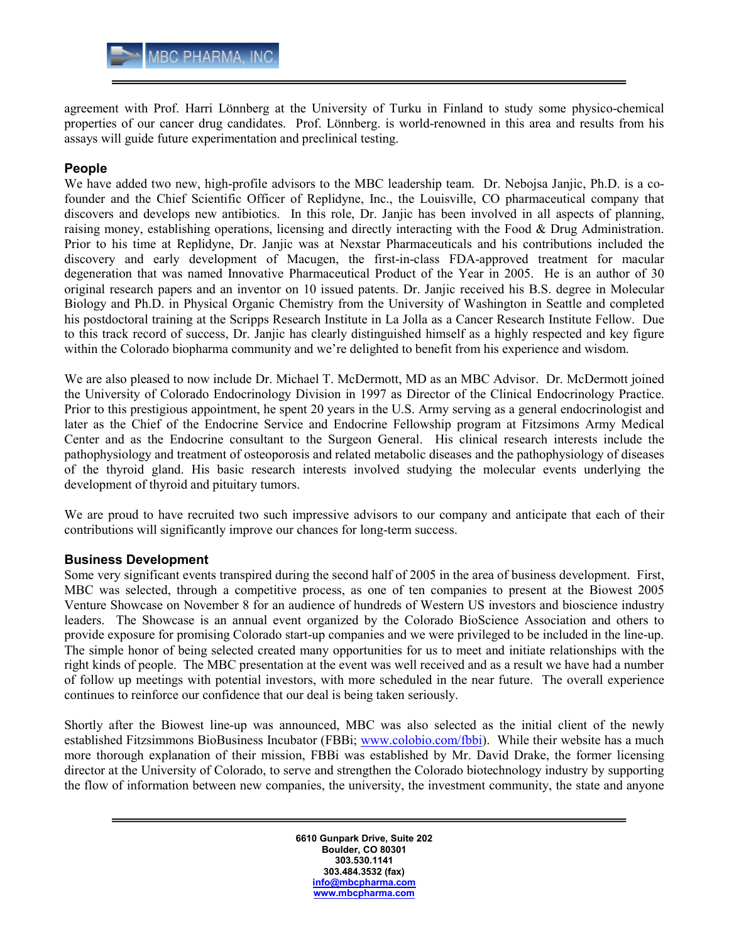agreement with Prof. Harri Lönnberg at the University of Turku in Finland to study some physico-chemical properties of our cancer drug candidates. Prof. Lönnberg. is world-renowned in this area and results from his assays will guide future experimentation and preclinical testing.

## People

We have added two new, high-profile advisors to the MBC leadership team. Dr. Nebojsa Janjic, Ph.D. is a cofounder and the Chief Scientific Officer of Replidyne, Inc., the Louisville, CO pharmaceutical company that discovers and develops new antibiotics. In this role, Dr. Janjic has been involved in all aspects of planning, raising money, establishing operations, licensing and directly interacting with the Food & Drug Administration. Prior to his time at Replidyne, Dr. Janjic was at Nexstar Pharmaceuticals and his contributions included the discovery and early development of Macugen, the first-in-class FDA-approved treatment for macular degeneration that was named Innovative Pharmaceutical Product of the Year in 2005. He is an author of 30 original research papers and an inventor on 10 issued patents. Dr. Janjic received his B.S. degree in Molecular Biology and Ph.D. in Physical Organic Chemistry from the University of Washington in Seattle and completed his postdoctoral training at the Scripps Research Institute in La Jolla as a Cancer Research Institute Fellow. Due to this track record of success, Dr. Janjic has clearly distinguished himself as a highly respected and key figure within the Colorado biopharma community and we're delighted to benefit from his experience and wisdom.

We are also pleased to now include Dr. Michael T. McDermott, MD as an MBC Advisor. Dr. McDermott joined the University of Colorado Endocrinology Division in 1997 as Director of the Clinical Endocrinology Practice. Prior to this prestigious appointment, he spent 20 years in the U.S. Army serving as a general endocrinologist and later as the Chief of the Endocrine Service and Endocrine Fellowship program at Fitzsimons Army Medical Center and as the Endocrine consultant to the Surgeon General. His clinical research interests include the pathophysiology and treatment of osteoporosis and related metabolic diseases and the pathophysiology of diseases of the thyroid gland. His basic research interests involved studying the molecular events underlying the development of thyroid and pituitary tumors.

We are proud to have recruited two such impressive advisors to our company and anticipate that each of their contributions will significantly improve our chances for long-term success.

## Business Development

Some very significant events transpired during the second half of 2005 in the area of business development. First, MBC was selected, through a competitive process, as one of ten companies to present at the Biowest 2005 Venture Showcase on November 8 for an audience of hundreds of Western US investors and bioscience industry leaders. The Showcase is an annual event organized by the Colorado BioScience Association and others to provide exposure for promising Colorado start-up companies and we were privileged to be included in the line-up. The simple honor of being selected created many opportunities for us to meet and initiate relationships with the right kinds of people. The MBC presentation at the event was well received and as a result we have had a number of follow up meetings with potential investors, with more scheduled in the near future. The overall experience continues to reinforce our confidence that our deal is being taken seriously.

Shortly after the Biowest line-up was announced, MBC was also selected as the initial client of the newly established Fitzsimmons BioBusiness Incubator (FBBi; www.colobio.com/fbbi). While their website has a much more thorough explanation of their mission, FBBi was established by Mr. David Drake, the former licensing director at the University of Colorado, to serve and strengthen the Colorado biotechnology industry by supporting the flow of information between new companies, the university, the investment community, the state and anyone

> 6610 Gunpark Drive, Suite 202 Boulder, CO 80301 303.530.1141 303.484.3532 (fax) info@mbcpharma.com www.mbcpharma.com